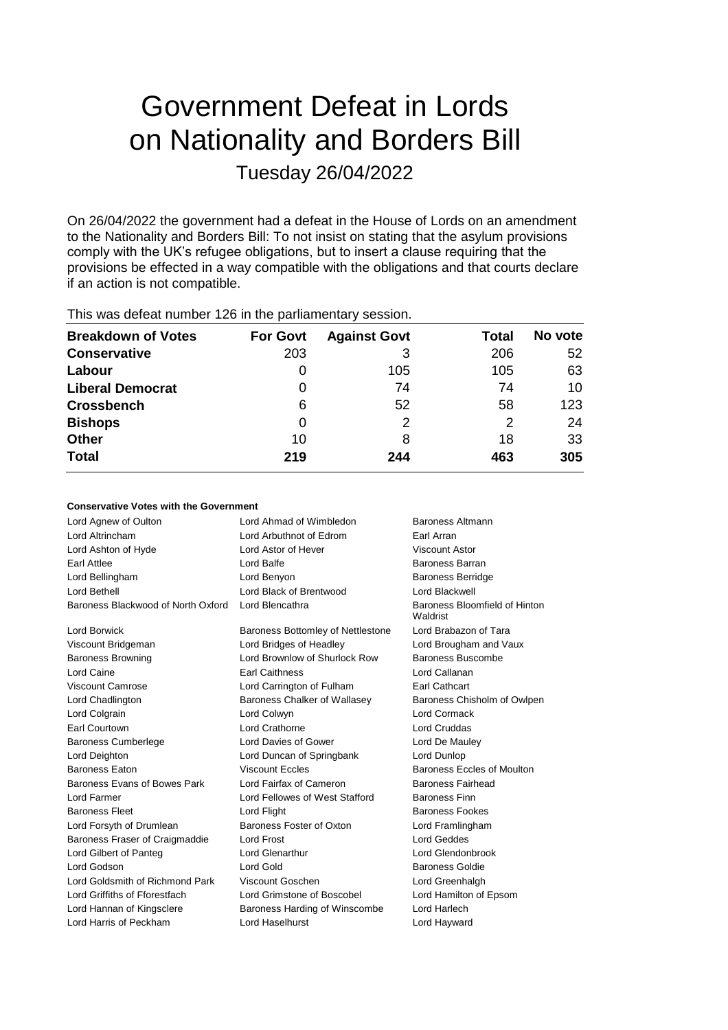# Government Defeat in Lords on Nationality and Borders Bill Tuesday 26/04/2022

On 26/04/2022 the government had a defeat in the House of Lords on an amendment to the Nationality and Borders Bill: To not insist on stating that the asylum provisions comply with the UK's refugee obligations, but to insert a clause requiring that the provisions be effected in a way compatible with the obligations and that courts declare if an action is not compatible.

| <b>Breakdown of Votes</b> | <b>For Govt</b> | <b>Against Govt</b> | Total | No vote |
|---------------------------|-----------------|---------------------|-------|---------|
| <b>Conservative</b>       | 203             |                     | 206   | 52      |
| Labour                    | 0               | 105                 | 105   | 63      |
| <b>Liberal Democrat</b>   | 0               | 74                  | 74    | 10      |
| <b>Crossbench</b>         | 6               | 52                  | 58    | 123     |
| <b>Bishops</b>            | 0               | 2                   | 2     | 24      |
| Other                     | 10              | 8                   | 18    | 33      |
| <b>Total</b>              | 219             | 244                 | 463   | 305     |
|                           |                 |                     |       |         |

This was defeat number 126 in the parliamentary session.

# **Conservative Votes with the Government**

| Lord Agnew of Oulton               | Lord Ahmad of Wimbledon           | Baroness Altmann                          |
|------------------------------------|-----------------------------------|-------------------------------------------|
| Lord Altrincham                    | Lord Arbuthnot of Edrom           | Earl Arran                                |
| Lord Ashton of Hyde                | Lord Astor of Hever               | <b>Viscount Astor</b>                     |
| Earl Attlee                        | Lord Balfe                        | Baroness Barran                           |
| Lord Bellingham                    | Lord Benyon                       | <b>Baroness Berridge</b>                  |
| Lord Bethell                       | Lord Black of Brentwood           | Lord Blackwell                            |
| Baroness Blackwood of North Oxford | Lord Blencathra                   | Baroness Bloomfield of Hinton<br>Waldrist |
| Lord Borwick                       | Baroness Bottomley of Nettlestone | Lord Brabazon of Tara                     |
| Viscount Bridgeman                 | Lord Bridges of Headley           | Lord Brougham and Vaux                    |
| <b>Baroness Browning</b>           | Lord Brownlow of Shurlock Row     | Baroness Buscombe                         |
| Lord Caine                         | <b>Earl Caithness</b>             | Lord Callanan                             |
| <b>Viscount Camrose</b>            | Lord Carrington of Fulham         | Earl Cathcart                             |
| Lord Chadlington                   | Baroness Chalker of Wallasey      | Baroness Chisholm of Owlpen               |
| Lord Colgrain                      | Lord Colwyn                       | Lord Cormack                              |
| Earl Courtown                      | Lord Crathorne                    | <b>Lord Cruddas</b>                       |
| <b>Baroness Cumberlege</b>         | Lord Davies of Gower              | Lord De Mauley                            |
| Lord Deighton                      | Lord Duncan of Springbank         | Lord Dunlop                               |
| <b>Baroness Faton</b>              | <b>Viscount Eccles</b>            | Baroness Eccles of Moulton                |
| Baroness Evans of Bowes Park       | Lord Fairfax of Cameron           | Baroness Fairhead                         |
| Lord Farmer                        | Lord Fellowes of West Stafford    | <b>Baroness Finn</b>                      |
| <b>Baroness Fleet</b>              | Lord Flight                       | <b>Baroness Fookes</b>                    |
| Lord Forsyth of Drumlean           | Baroness Foster of Oxton          | Lord Framlingham                          |
| Baroness Fraser of Craigmaddie     | <b>Lord Frost</b>                 | Lord Geddes                               |
| Lord Gilbert of Panteg             | <b>Lord Glenarthur</b>            | Lord Glendonbrook                         |
| Lord Godson                        | Lord Gold                         | <b>Baroness Goldie</b>                    |
| Lord Goldsmith of Richmond Park    | Viscount Goschen                  | Lord Greenhalgh                           |
| Lord Griffiths of Fforestfach      | Lord Grimstone of Boscobel        | Lord Hamilton of Epsom                    |
| Lord Hannan of Kingsclere          | Baroness Harding of Winscombe     | Lord Harlech                              |
| Lord Harris of Peckham             | Lord Haselhurst                   | Lord Hayward                              |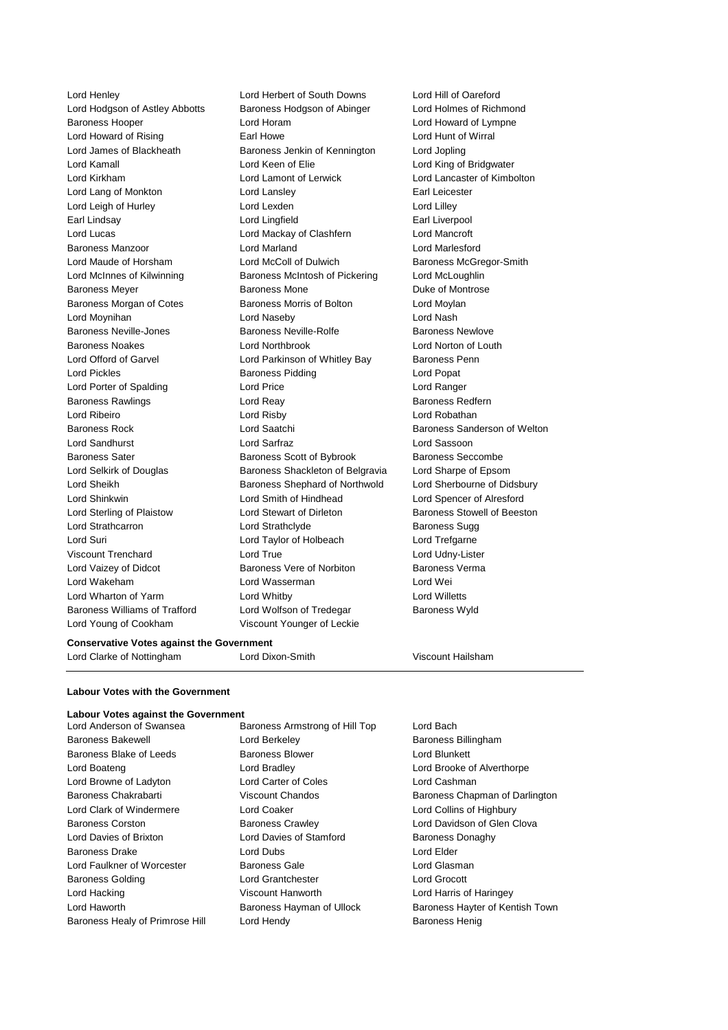Lord Henley Lord Herbert of South Downs Lord Hill of Oareford Lord Hodgson of Astley Abbotts Baroness Hodgson of Abinger Lord Holmes of Richmond Baroness Hooper Lord Horam Lord Howard of Lympne Lord Howard of Rising Earl Howe Lord Hunt of Wirral Lord James of Blackheath Baroness Jenkin of Kennington Lord Jopling Lord Kamall Lord Keen of Elie Lord King of Bridgwater Lord Kirkham Lord Lamont of Lerwick Lord Lancaster of Kimbolton Lord Lang of Monkton **Lord Lansley Lord Lang Carl Leicester Earl Leicester** Lord Leigh of Hurley **Lord Lexden** Lord Lexden Lord Lilley Earl Lindsay **Earl Lingfield** Earl Liverpool Lord Lucas Lord Mackay of Clashfern Lord Mancroft Baroness Manzoor Lord Marland Lord Marlesford Lord Maude of Horsham Lord McColl of Dulwich Baroness McGregor-Smith Lord McInnes of Kilwinning Baroness McIntosh of Pickering Lord McLoughlin Baroness Meyer **Baroness Mone** Baroness Mone **Duke of Montrose** Baroness Morgan of Cotes **Baroness Morris of Bolton** Lord Moylan Lord Moynihan Lord Naseby Lord Nash Baroness Neville-Jones Baroness Neville-Rolfe Baroness Newlove Baroness Noakes Lord Northbrook Lord Norton of Louth Lord Offord of Garvel **Lord Parkinson of Whitley Bay** Baroness Penn Lord Pickles **Baroness Pidding Lord Popat** Lord Popat Lord Porter of Spalding Lord Price Lord Ranger Baroness Rawlings **Example 2** Lord Reay **Baroness Redfern** Lord Ribeiro Lord Risby Lord Robathan Baroness Rock Lord Saatchi Baroness Sanderson of Welton Lord Sandhurst Lord Sarfraz Lord Sassoon Baroness Sater **Baroness Scott of Bybrook** Baroness Seccombe Lord Selkirk of Douglas Baroness Shackleton of Belgravia Lord Sharpe of Epsom Lord Sheikh **Baroness Shephard of Northwold** Lord Sherbourne of Didsbury Lord Shinkwin Lord Smith of Hindhead Lord Spencer of Alresford Lord Sterling of Plaistow Lord Stewart of Dirleton Baroness Stowell of Beeston Lord Strathcarron **Lord Strathclyde** Baroness Sugg Lord Suri **Lord Taylor of Holbeach** Lord Trefgarne Viscount Trenchard Lord True Lord Udny-Lister Lord Vaizey of Didcot Baroness Vere of Norbiton Baroness Verma Lord Wakeham Lord Wasserman Lord Wei Lord Wharton of Yarm Lord Whitby Lord Willetts Baroness Williams of Trafford Lord Wolfson of Tredegar Baroness Wyld Lord Young of Cookham Viscount Younger of Leckie

#### **Conservative Votes against the Government**

Lord Clarke of Nottingham Lord Dixon-Smith Viscount Hailsham

#### **Labour Votes with the Government**

#### **Labour Votes against the Government**

Lord Anderson of Swansea Baroness Armstrong of Hill Top Lord Bach Baroness Bakewell **Baroness Billingham** Lord Berkeley **Baroness Billingham** Baroness Blake of Leeds Baroness Blower Correct Lord Blunkett Lord Boateng Lord Bradley Lord Brooke of Alverthorpe Lord Browne of Ladyton **Lord Carter of Coles** Lord Cashman Lord Clark of Windermere Lord Coaker Lord Collins of Highbury Baroness Corston **Baroness Crawley Baroness Crawley** Lord Davidson of Glen Clova Lord Davies of Brixton **Lord Davies of Stamford** Baroness Donaghy Baroness Drake Lord Dubs Lord Dubs Lord Elder Lord Faulkner of Worcester Baroness Gale Lord Glasman Baroness Golding Lord Grantchester Lord Grocott Lord Hacking Viscount Hanworth Lord Harris of Haringey Baroness Healy of Primrose Hill Lord Hendy Contract Realism Baroness Henig

Baroness Chakrabarti Viscount Chandos Baroness Chapman of Darlington Lord Haworth **Baroness Hayman of Ullock** Baroness Hayter of Kentish Town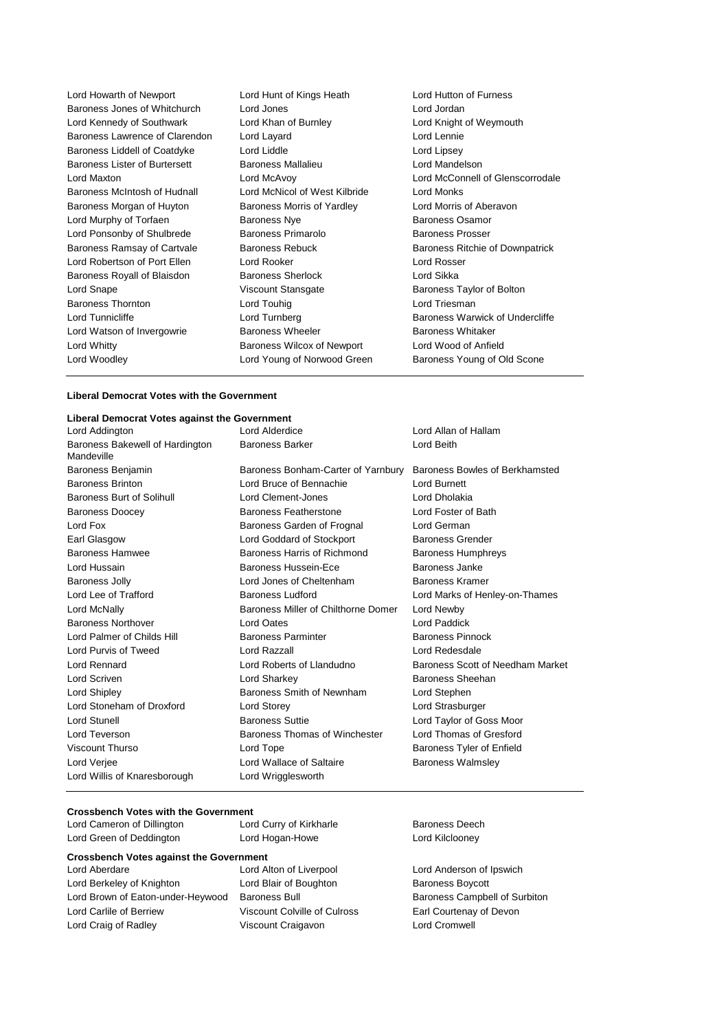| Lord Howarth of Newport        | Lord Hunt of Kings Heath      | Lord Hutton of Furness           |
|--------------------------------|-------------------------------|----------------------------------|
| Baroness Jones of Whitchurch   | Lord Jones                    | Lord Jordan                      |
| Lord Kennedy of Southwark      | Lord Khan of Burnley          | Lord Knight of Weymouth          |
| Baroness Lawrence of Clarendon | Lord Layard                   | Lord Lennie                      |
| Baroness Liddell of Coatdyke   | Lord Liddle                   | Lord Lipsey                      |
| Baroness Lister of Burtersett  | <b>Baroness Mallalieu</b>     | Lord Mandelson                   |
| Lord Maxton                    | Lord McAvoy                   | Lord McConnell of Glenscorrodale |
| Baroness McIntosh of Hudnall   | Lord McNicol of West Kilbride | <b>Lord Monks</b>                |
| Baroness Morgan of Huyton      | Baroness Morris of Yardley    | Lord Morris of Aberavon          |
| Lord Murphy of Torfaen         | <b>Baroness Nye</b>           | <b>Baroness Osamor</b>           |
| Lord Ponsonby of Shulbrede     | <b>Baroness Primarolo</b>     | <b>Baroness Prosser</b>          |
| Baroness Ramsay of Cartvale    | <b>Baroness Rebuck</b>        | Baroness Ritchie of Downpatrick  |
| Lord Robertson of Port Ellen   | Lord Rooker                   | Lord Rosser                      |
| Baroness Royall of Blaisdon    | <b>Baroness Sherlock</b>      | Lord Sikka                       |
| Lord Snape                     | Viscount Stansgate            | Baroness Taylor of Bolton        |
| <b>Baroness Thornton</b>       | Lord Touhig                   | Lord Triesman                    |
| Lord Tunnicliffe               | Lord Turnberg                 | Baroness Warwick of Undercliffe  |
| Lord Watson of Invergowrie     | <b>Baroness Wheeler</b>       | <b>Baroness Whitaker</b>         |
| Lord Whitty                    | Baroness Wilcox of Newport    | Lord Wood of Anfield             |
| Lord Woodley                   | Lord Young of Norwood Green   | Baroness Young of Old Scone      |
|                                |                               |                                  |

### **Liberal Democrat Votes with the Government**

| Liberal Democrat Votes against the Government |                                     |                                  |
|-----------------------------------------------|-------------------------------------|----------------------------------|
| Lord Addington                                | Lord Alderdice                      | Lord Allan of Hallam             |
| Baroness Bakewell of Hardington<br>Mandeville | <b>Baroness Barker</b>              | Lord Beith                       |
| Baroness Benjamin                             | Baroness Bonham-Carter of Yarnbury  | Baroness Bowles of Berkhamsted   |
| <b>Baroness Brinton</b>                       | Lord Bruce of Bennachie             | Lord Burnett                     |
| Baroness Burt of Solihull                     | Lord Clement-Jones                  | Lord Dholakia                    |
| <b>Baroness Doocey</b>                        | Baroness Featherstone               | Lord Foster of Bath              |
| Lord Fox                                      | Baroness Garden of Frognal          | Lord German                      |
| Earl Glasgow                                  | Lord Goddard of Stockport           | <b>Baroness Grender</b>          |
| Baroness Hamwee                               | Baroness Harris of Richmond         | <b>Baroness Humphreys</b>        |
| Lord Hussain                                  | Baroness Hussein-Ece                | Baroness Janke                   |
| Baroness Jolly                                | Lord Jones of Cheltenham            | Baroness Kramer                  |
| Lord Lee of Trafford                          | Baroness Ludford                    | Lord Marks of Henley-on-Thames   |
| Lord McNally                                  | Baroness Miller of Chilthorne Domer | Lord Newby                       |
| <b>Baroness Northover</b>                     | Lord Oates                          | <b>Lord Paddick</b>              |
| Lord Palmer of Childs Hill                    | <b>Baroness Parminter</b>           | <b>Baroness Pinnock</b>          |
| Lord Purvis of Tweed                          | Lord Razzall                        | Lord Redesdale                   |
| Lord Rennard                                  | Lord Roberts of Llandudno           | Baroness Scott of Needham Market |
| <b>Lord Scriven</b>                           | Lord Sharkey                        | Baroness Sheehan                 |
| Lord Shipley                                  | Baroness Smith of Newnham           | Lord Stephen                     |
| Lord Stoneham of Droxford                     | <b>Lord Storey</b>                  | Lord Strasburger                 |
| <b>Lord Stunell</b>                           | <b>Baroness Suttie</b>              | Lord Taylor of Goss Moor         |
| Lord Teverson                                 | Baroness Thomas of Winchester       | Lord Thomas of Gresford          |
| Viscount Thurso                               | Lord Tope                           | Baroness Tyler of Enfield        |
| Lord Verjee                                   | Lord Wallace of Saltaire            | <b>Baroness Walmsley</b>         |
| Lord Willis of Knaresborough                  | Lord Wrigglesworth                  |                                  |

### **Crossbench Votes with the Government**

| Lord Cameron of Dillington | Lord Curry of Kirkharle |
|----------------------------|-------------------------|
| Lord Green of Deddington   | Lord Hogan-Howe         |

| <b>Crossbench Votes against the Government</b> |                         |  |  |
|------------------------------------------------|-------------------------|--|--|
| Lord Aberdare                                  | Lord Alton of Liverpool |  |  |
| Lord Berkeley of Knighton                      | Lord Blair of Boughton  |  |  |
| Lord Brown of Eaton-under-Heywood              | <b>Baroness Bull</b>    |  |  |
| $1 - 1 - 2 - 1$                                | $10 - 10 = 10$          |  |  |

rd Blair of Boughton **Baroness Boycott** Lord Carlile of Berriew Viscount Colville of Culross Earl Courtenay of Devon Lord Craig of Radley **Viscount Craigavon Lord Cromwell** 

Baroness Deech Lord Kilclooney

Lord Anderson of Ipswich Lord Baroness Bull Baroness Campbell of Surbiton